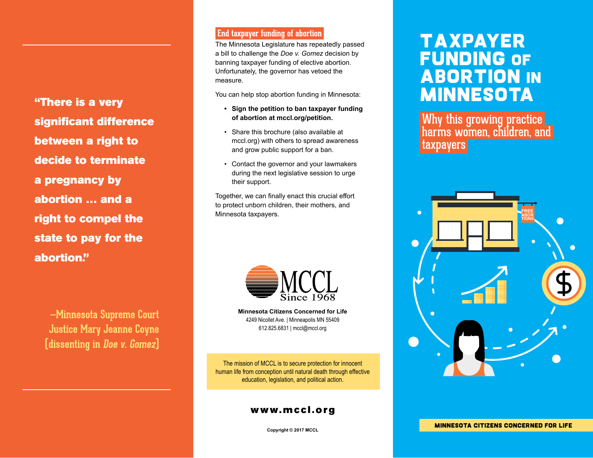"There is a very significant difference between a right to decide to terminate a pregnancy by abortion … and a right to compel the state to pay for the abortion."

> **—Minnesota Supreme Court Justice Mary Jeanne Coyne (dissenting in Doe v. Gomez)**

#### **End taxpayer funding of abortion**

The Minnesota Legislature has repeatedly passed a bill to challenge the *Doe v. Gomez* decision by banning taxpayer funding of elective abortion. Unfortunately, the governor has vetoed the measure.

You can help stop abortion funding in Minnesota:

- **• Sign the petition to ban taxpayer funding of abortion at mccl.org/petition.**
- • Share this brochure (also available at mccl.org) with others to spread awareness and grow public support for a ban.
- • Contact the governor and your lawmakers during the next legislative session to urge their support.

Together, we can finally enact this crucial effort to protect unborn children, their mothers, and Minnesota taxpayers. **FREE** 



**Minnesota Citizens Concerned for Life** 4249 Nicollet Ave. | Minneapolis MN 55409 612.825.6831 | mccl@mccl.org

The mission of MCCL is to secure protection for innocent human life from conception until natural death through effective education, legislation, and political action.

## www.mccl.org

#### **Copyright © 2017 MCCL**

# Taxpayer Funding of **ABORTION IN** Minnesota

Why this growing practice harms women, children, and taxpayers